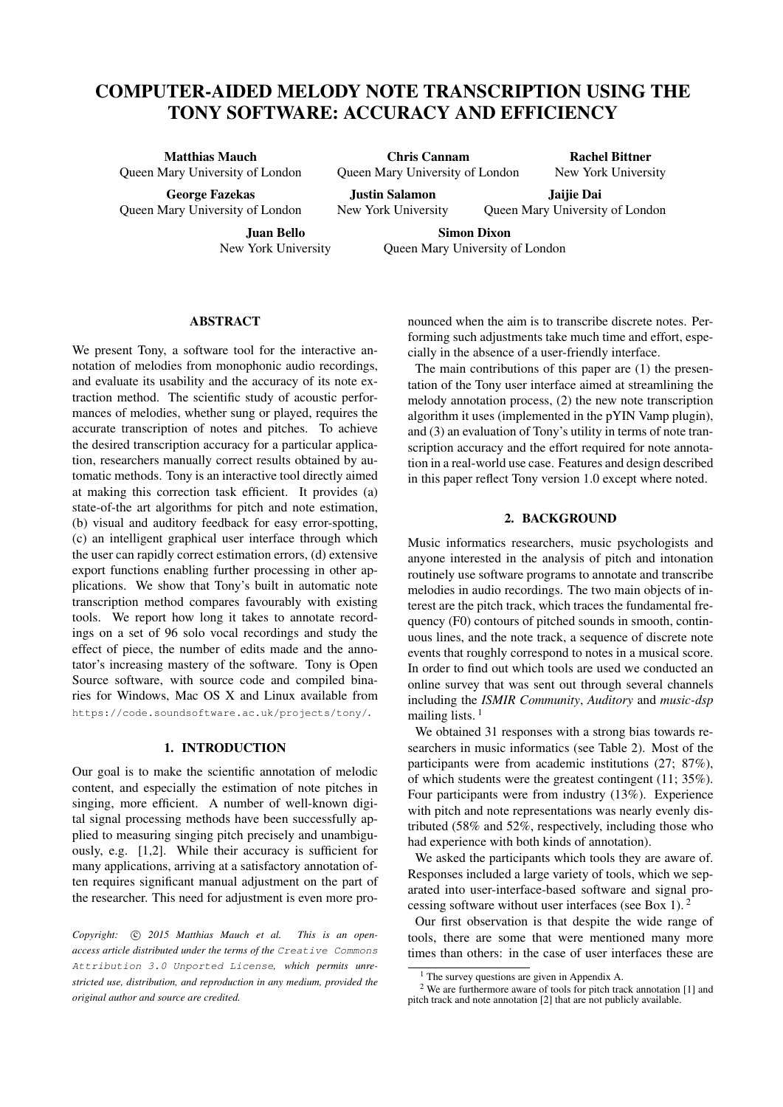# COMPUTER-AIDED MELODY NOTE TRANSCRIPTION USING THE TONY SOFTWARE: ACCURACY AND EFFICIENCY

Matthias Mauch Queen Mary University of London

George Fazekas Queen Mary University of London

Juan Bello

Chris Cannam Queen Mary University of London

Justin Salamon New York University

Jaijie Dai Queen Mary University of London

Rachel Bittner New York University

New York University

Simon Dixon Queen Mary University of London

# ABSTRACT

We present Tony, a software tool for the interactive annotation of melodies from monophonic audio recordings, and evaluate its usability and the accuracy of its note extraction method. The scientific study of acoustic performances of melodies, whether sung or played, requires the accurate transcription of notes and pitches. To achieve the desired transcription accuracy for a particular application, researchers manually correct results obtained by automatic methods. Tony is an interactive tool directly aimed at making this correction task efficient. It provides (a) state-of-the art algorithms for pitch and note estimation, (b) visual and auditory feedback for easy error-spotting, (c) an intelligent graphical user interface through which the user can rapidly correct estimation errors, (d) extensive export functions enabling further processing in other applications. We show that Tony's built in automatic note transcription method compares favourably with existing tools. We report how long it takes to annotate recordings on a set of 96 solo vocal recordings and study the effect of piece, the number of edits made and the annotator's increasing mastery of the software. Tony is Open Source software, with source code and compiled binaries for Windows, Mac OS X and Linux available from <https://code.soundsoftware.ac.uk/projects/tony/>.

#### 1. INTRODUCTION

Our goal is to make the scientific annotation of melodic content, and especially the estimation of note pitches in singing, more efficient. A number of well-known digital signal processing methods have been successfully applied to measuring singing pitch precisely and unambiguously, e.g. [1,2]. While their accuracy is sufficient for many applications, arriving at a satisfactory annotation often requires significant manual adjustment on the part of the researcher. This need for adjustment is even more pronounced when the aim is to transcribe discrete notes. Performing such adjustments take much time and effort, especially in the absence of a user-friendly interface.

The main contributions of this paper are (1) the presentation of the Tony user interface aimed at streamlining the melody annotation process, (2) the new note transcription algorithm it uses (implemented in the pYIN Vamp plugin), and (3) an evaluation of Tony's utility in terms of note transcription accuracy and the effort required for note annotation in a real-world use case. Features and design described in this paper reflect Tony version 1.0 except where noted.

# 2. BACKGROUND

Music informatics researchers, music psychologists and anyone interested in the analysis of pitch and intonation routinely use software programs to annotate and transcribe melodies in audio recordings. The two main objects of interest are the pitch track, which traces the fundamental frequency (F0) contours of pitched sounds in smooth, continuous lines, and the note track, a sequence of discrete note events that roughly correspond to notes in a musical score. In order to find out which tools are used we conducted an online survey that was sent out through several channels including the *ISMIR Community*, *Auditory* and *music-dsp* mailing lists.  $<sup>1</sup>$  $<sup>1</sup>$  $<sup>1</sup>$ </sup>

We obtained 31 responses with a strong bias towards researchers in music informatics (see Table [2\)](#page-1-0). Most of the participants were from academic institutions (27; 87%), of which students were the greatest contingent (11; 35%). Four participants were from industry (13%). Experience with pitch and note representations was nearly evenly distributed (58% and 52%, respectively, including those who had experience with both kinds of annotation).

We asked the participants which tools they are aware of. Responses included a large variety of tools, which we separated into user-interface-based software and signal processing software without user interfaces (see Box [1\)](#page-1-1). [2](#page-0-1)

Our first observation is that despite the wide range of tools, there are some that were mentioned many more times than others: in the case of user interfaces these are

Copyright:  $\circled{c}$  2015 Matthias Mauch et al. This is an open*access article distributed under the terms of the* [Creative Commons](http://creativecommons.org/licenses/by/3.0/) [Attribution 3.0 Unported License](http://creativecommons.org/licenses/by/3.0/)*, which permits unrestricted use, distribution, and reproduction in any medium, provided the original author and source are credited.*

<span id="page-0-1"></span><span id="page-0-0"></span> $<sup>1</sup>$  The survey questions are given in Appendix [A.](#page-7-0)</sup>

 $2$  We are furthermore aware of tools for pitch track annotation [\[1\]](#page-7-1) and pitch track and note annotation [\[2\]](#page-7-2) that are not publicly available.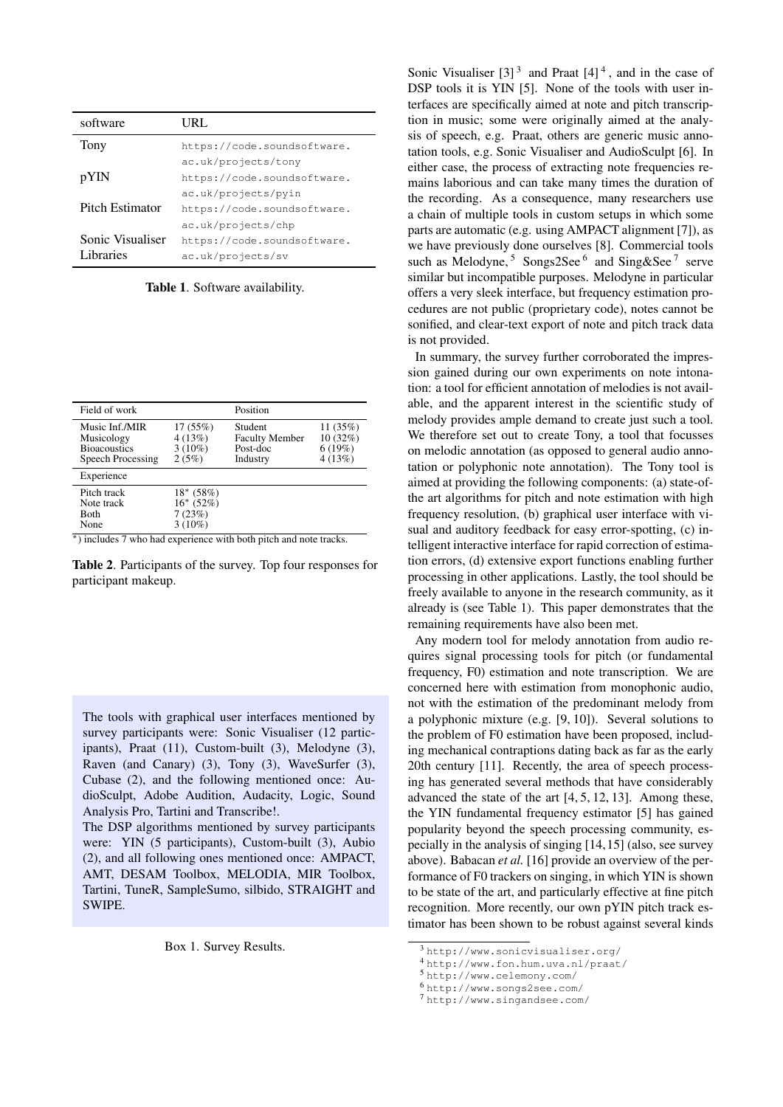<span id="page-1-7"></span>

| software         | URL.                        |  |
|------------------|-----------------------------|--|
| Tony             | https://code.soundsoftware. |  |
|                  | ac.uk/projects/tony         |  |
| pYIN             | https://code.soundsoftware. |  |
|                  | ac.uk/projects/pyin         |  |
| Pitch Estimator  | https://code.soundsoftware. |  |
|                  | ac.uk/projects/chp          |  |
| Sonic Visualiser | https://code.soundsoftware. |  |
| Libraries        | ac.uk/projects/sv           |  |

Table 1. Software availability.

<span id="page-1-0"></span>

| Field of work                                                            |                                                 | Position                                                 |                                            |
|--------------------------------------------------------------------------|-------------------------------------------------|----------------------------------------------------------|--------------------------------------------|
| Music Inf./MIR<br>Musicology<br><b>Bioacoustics</b><br>Speech Processing | 17(55%)<br>4(13%)<br>$3(10\%)$<br>2(5%)         | Student<br><b>Faculty Member</b><br>Post-doc<br>Industry | 11 $(35%)$<br>10 (32%)<br>6(19%)<br>4(13%) |
| Experience                                                               |                                                 |                                                          |                                            |
| Pitch track<br>Note track<br><b>Both</b><br>None                         | $18*(58%)$<br>$16*(52%)$<br>7(23%)<br>$3(10\%)$ |                                                          |                                            |

<sup>∗</sup>) includes 7 who had experience with both pitch and note tracks.

Table 2. Participants of the survey. Top four responses for participant makeup.

<span id="page-1-1"></span>The tools with graphical user interfaces mentioned by survey participants were: Sonic Visualiser (12 participants), Praat (11), Custom-built (3), Melodyne (3), Raven (and Canary) (3), Tony (3), WaveSurfer (3), Cubase (2), and the following mentioned once: AudioSculpt, Adobe Audition, Audacity, Logic, Sound Analysis Pro, Tartini and Transcribe!.

The DSP algorithms mentioned by survey participants were: YIN (5 participants), Custom-built (3), Aubio (2), and all following ones mentioned once: AMPACT, AMT, DESAM Toolbox, MELODIA, MIR Toolbox, Tartini, TuneR, SampleSumo, silbido, STRAIGHT and SWIPE.

Box 1. Survey Results.

Sonic Visualiser  $[3]$ <sup>[3](#page-1-2)</sup> and Praat  $[4]$ <sup>[4](#page-1-3)</sup>, and in the case of DSP tools it is YIN [\[5\]](#page-7-5). None of the tools with user interfaces are specifically aimed at note and pitch transcription in music; some were originally aimed at the analysis of speech, e.g. Praat, others are generic music annotation tools, e.g. Sonic Visualiser and AudioSculpt [\[6\]](#page-7-6). In either case, the process of extracting note frequencies remains laborious and can take many times the duration of the recording. As a consequence, many researchers use a chain of multiple tools in custom setups in which some parts are automatic (e.g. using AMPACT alignment [\[7\]](#page-7-7)), as we have previously done ourselves [\[8\]](#page-7-8). Commercial tools such as Melodyne,  $5$  Songs2See  $6$  and Sing&See  $7$  serve similar but incompatible purposes. Melodyne in particular offers a very sleek interface, but frequency estimation procedures are not public (proprietary code), notes cannot be sonified, and clear-text export of note and pitch track data is not provided.

In summary, the survey further corroborated the impression gained during our own experiments on note intonation: a tool for efficient annotation of melodies is not available, and the apparent interest in the scientific study of melody provides ample demand to create just such a tool. We therefore set out to create Tony, a tool that focusses on melodic annotation (as opposed to general audio annotation or polyphonic note annotation). The Tony tool is aimed at providing the following components: (a) state-ofthe art algorithms for pitch and note estimation with high frequency resolution, (b) graphical user interface with visual and auditory feedback for easy error-spotting, (c) intelligent interactive interface for rapid correction of estimation errors, (d) extensive export functions enabling further processing in other applications. Lastly, the tool should be freely available to anyone in the research community, as it already is (see Table [1\)](#page-1-7). This paper demonstrates that the remaining requirements have also been met.

Any modern tool for melody annotation from audio requires signal processing tools for pitch (or fundamental frequency, F0) estimation and note transcription. We are concerned here with estimation from monophonic audio, not with the estimation of the predominant melody from a polyphonic mixture (e.g. [\[9,](#page-7-9) [10\]](#page-7-10)). Several solutions to the problem of F0 estimation have been proposed, including mechanical contraptions dating back as far as the early 20th century [\[11\]](#page-7-11). Recently, the area of speech processing has generated several methods that have considerably advanced the state of the art [\[4,](#page-7-4) [5,](#page-7-5) [12,](#page-7-12) [13\]](#page-7-13). Among these, the YIN fundamental frequency estimator [\[5\]](#page-7-5) has gained popularity beyond the speech processing community, especially in the analysis of singing [\[14,](#page-7-14)[15\]](#page-7-15) (also, see survey above). Babacan *et al.* [\[16\]](#page-7-16) provide an overview of the performance of F0 trackers on singing, in which YIN is shown to be state of the art, and particularly effective at fine pitch recognition. More recently, our own pYIN pitch track estimator has been shown to be robust against several kinds

<span id="page-1-2"></span><sup>3</sup> <http://www.sonicvisualiser.org/>

<span id="page-1-3"></span><sup>4</sup> <http://www.fon.hum.uva.nl/praat/>

<span id="page-1-4"></span><sup>5</sup> <http://www.celemony.com/>

<span id="page-1-5"></span><sup>6</sup> <http://www.songs2see.com/>

<span id="page-1-6"></span><sup>7</sup> <http://www.singandsee.com/>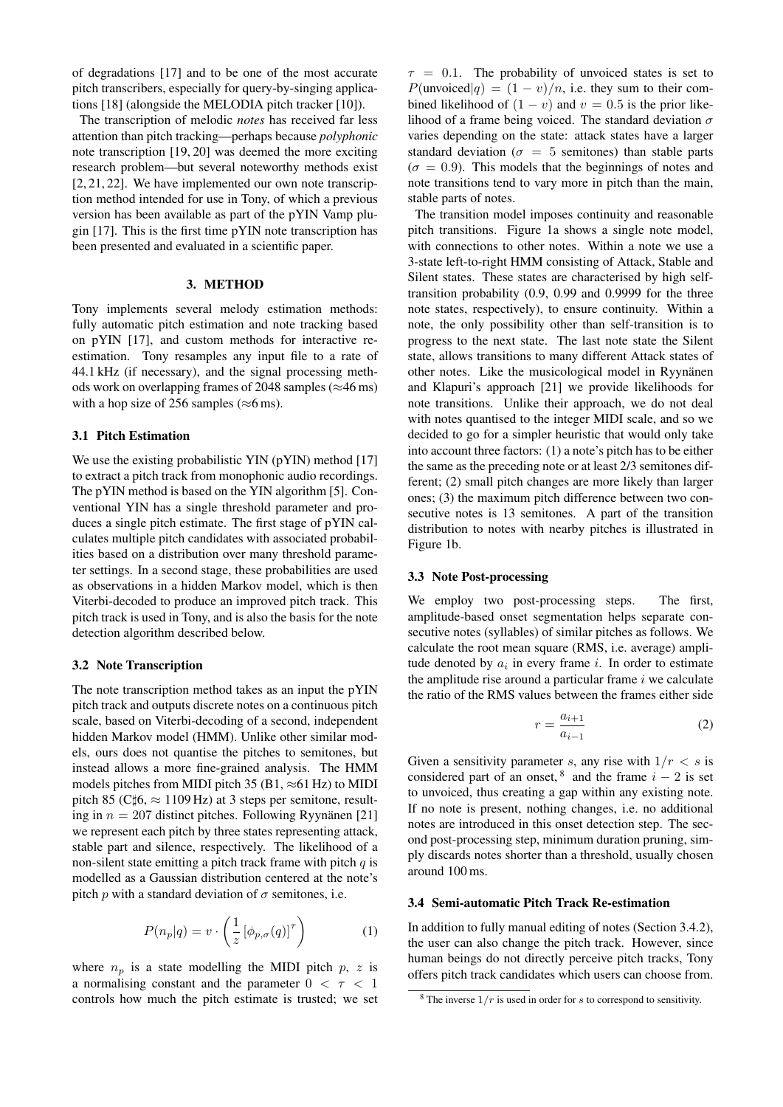of degradations [\[17\]](#page-8-0) and to be one of the most accurate pitch transcribers, especially for query-by-singing applications [\[18\]](#page-8-1) (alongside the MELODIA pitch tracker [\[10\]](#page-7-10)).

The transcription of melodic *notes* has received far less attention than pitch tracking—perhaps because *polyphonic* note transcription [\[19,](#page-8-2) [20\]](#page-8-3) was deemed the more exciting research problem—but several noteworthy methods exist [\[2,](#page-7-2) [21,](#page-8-4) [22\]](#page-8-5). We have implemented our own note transcription method intended for use in Tony, of which a previous version has been available as part of the pYIN Vamp plugin [\[17\]](#page-8-0). This is the first time pYIN note transcription has been presented and evaluated in a scientific paper.

# 3. METHOD

Tony implements several melody estimation methods: fully automatic pitch estimation and note tracking based on pYIN [\[17\]](#page-8-0), and custom methods for interactive reestimation. Tony resamples any input file to a rate of 44.1 kHz (if necessary), and the signal processing methods work on overlapping frames of 2048 samples ( $\approx$ 46 ms) with a hop size of 256 samples ( $\approx$ 6 ms).

#### <span id="page-2-1"></span>3.1 Pitch Estimation

We use the existing probabilistic YIN (pYIN) method [\[17\]](#page-8-0) to extract a pitch track from monophonic audio recordings. The pYIN method is based on the YIN algorithm [\[5\]](#page-7-5). Conventional YIN has a single threshold parameter and produces a single pitch estimate. The first stage of pYIN calculates multiple pitch candidates with associated probabilities based on a distribution over many threshold parameter settings. In a second stage, these probabilities are used as observations in a hidden Markov model, which is then Viterbi-decoded to produce an improved pitch track. This pitch track is used in Tony, and is also the basis for the note detection algorithm described below.

## <span id="page-2-2"></span>3.2 Note Transcription

The note transcription method takes as an input the pYIN pitch track and outputs discrete notes on a continuous pitch scale, based on Viterbi-decoding of a second, independent hidden Markov model (HMM). Unlike other similar models, ours does not quantise the pitches to semitones, but instead allows a more fine-grained analysis. The HMM models pitches from MIDI pitch 35 (B1,  $\approx$ 61 Hz) to MIDI pitch 85 (C $\sharp$ 6,  $\approx$  1109 Hz) at 3 steps per semitone, resulting in  $n = 207$  distinct pitches. Following Ryynänen [[21\]](#page-8-4) we represent each pitch by three states representing attack, stable part and silence, respectively. The likelihood of a non-silent state emitting a pitch track frame with pitch  $q$  is modelled as a Gaussian distribution centered at the note's pitch p with a standard deviation of  $\sigma$  semitones, i.e.

$$
P(n_p|q) = v \cdot \left(\frac{1}{z} \left[\phi_{p,\sigma}(q)\right]^{\tau}\right) \tag{1}
$$

where  $n_p$  is a state modelling the MIDI pitch  $p$ , z is a normalising constant and the parameter  $0 < \tau < 1$ controls how much the pitch estimate is trusted; we set  $\tau = 0.1$ . The probability of unvoiced states is set to  $P(\text{unvoiced}|q) = (1 - v)/n$ , i.e. they sum to their combined likelihood of  $(1 - v)$  and  $v = 0.5$  is the prior likelihood of a frame being voiced. The standard deviation  $\sigma$ varies depending on the state: attack states have a larger standard deviation ( $\sigma = 5$  semitones) than stable parts  $(\sigma = 0.9)$ . This models that the beginnings of notes and note transitions tend to vary more in pitch than the main, stable parts of notes.

The transition model imposes continuity and reasonable pitch transitions. Figure [1a](#page-3-0) shows a single note model, with connections to other notes. Within a note we use a 3-state left-to-right HMM consisting of Attack, Stable and Silent states. These states are characterised by high selftransition probability (0.9, 0.99 and 0.9999 for the three note states, respectively), to ensure continuity. Within a note, the only possibility other than self-transition is to progress to the next state. The last note state the Silent state, allows transitions to many different Attack states of other notes. Like the musicological model in Ryynänen and Klapuri's approach [\[21\]](#page-8-4) we provide likelihoods for note transitions. Unlike their approach, we do not deal with notes quantised to the integer MIDI scale, and so we decided to go for a simpler heuristic that would only take into account three factors: (1) a note's pitch has to be either the same as the preceding note or at least 2/3 semitones different; (2) small pitch changes are more likely than larger ones; (3) the maximum pitch difference between two consecutive notes is 13 semitones. A part of the transition distribution to notes with nearby pitches is illustrated in Figure [1b.](#page-3-1)

#### 3.3 Note Post-processing

We employ two post-processing steps. The first, amplitude-based onset segmentation helps separate consecutive notes (syllables) of similar pitches as follows. We calculate the root mean square (RMS, i.e. average) amplitude denoted by  $a_i$  in every frame i. In order to estimate the amplitude rise around a particular frame  $i$  we calculate the ratio of the RMS values between the frames either side

$$
r = \frac{a_{i+1}}{a_{i-1}}\tag{2}
$$

Given a sensitivity parameter s, any rise with  $1/r < s$  is considered part of an onset, <sup>[8](#page-2-0)</sup> and the frame  $i - 2$  is set to unvoiced, thus creating a gap within any existing note. If no note is present, nothing changes, i.e. no additional notes are introduced in this onset detection step. The second post-processing step, minimum duration pruning, simply discards notes shorter than a threshold, usually chosen around 100 ms.

#### 3.4 Semi-automatic Pitch Track Re-estimation

In addition to fully manual editing of notes (Section [3.4.2\)](#page-4-0), the user can also change the pitch track. However, since human beings do not directly perceive pitch tracks, Tony offers pitch track candidates which users can choose from.

<span id="page-2-0"></span> $8$  The inverse  $1/r$  is used in order for s to correspond to sensitivity.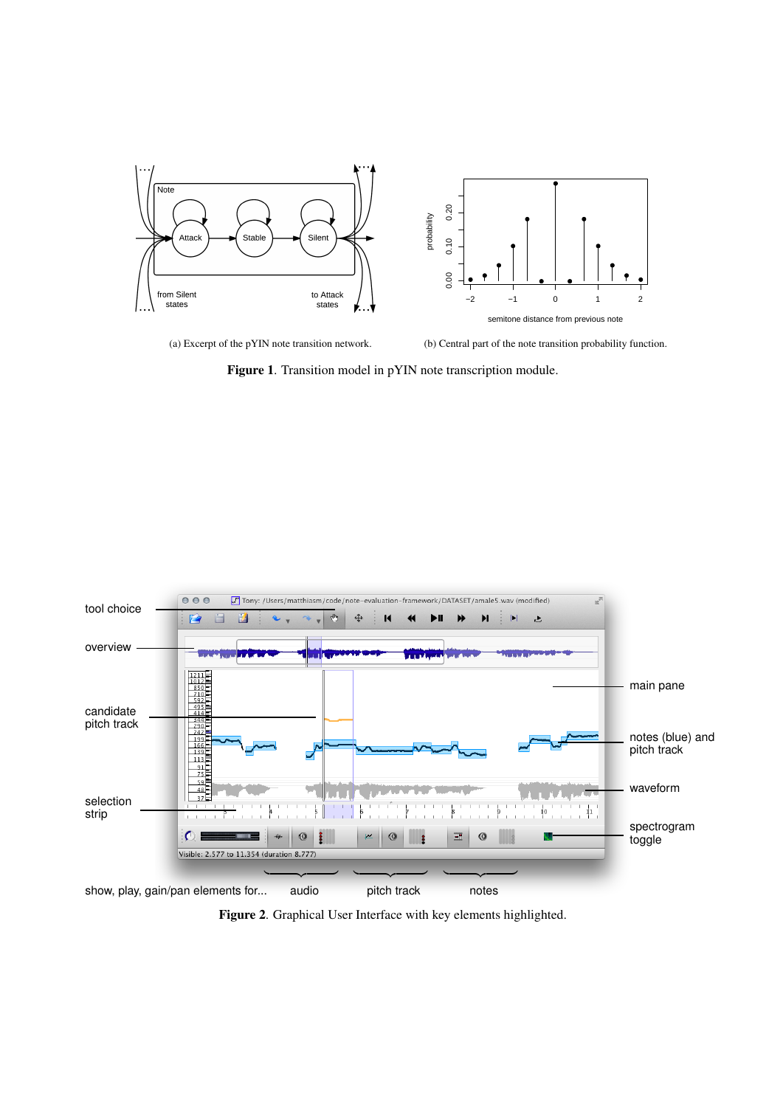<span id="page-3-0"></span>

(a) Excerpt of the pYIN note transition network.

<span id="page-3-1"></span>(b) Central part of the note transition probability function.

Figure 1. Transition model in pYIN note transcription module.



<span id="page-3-2"></span>Figure 2. Graphical User Interface with key elements highlighted.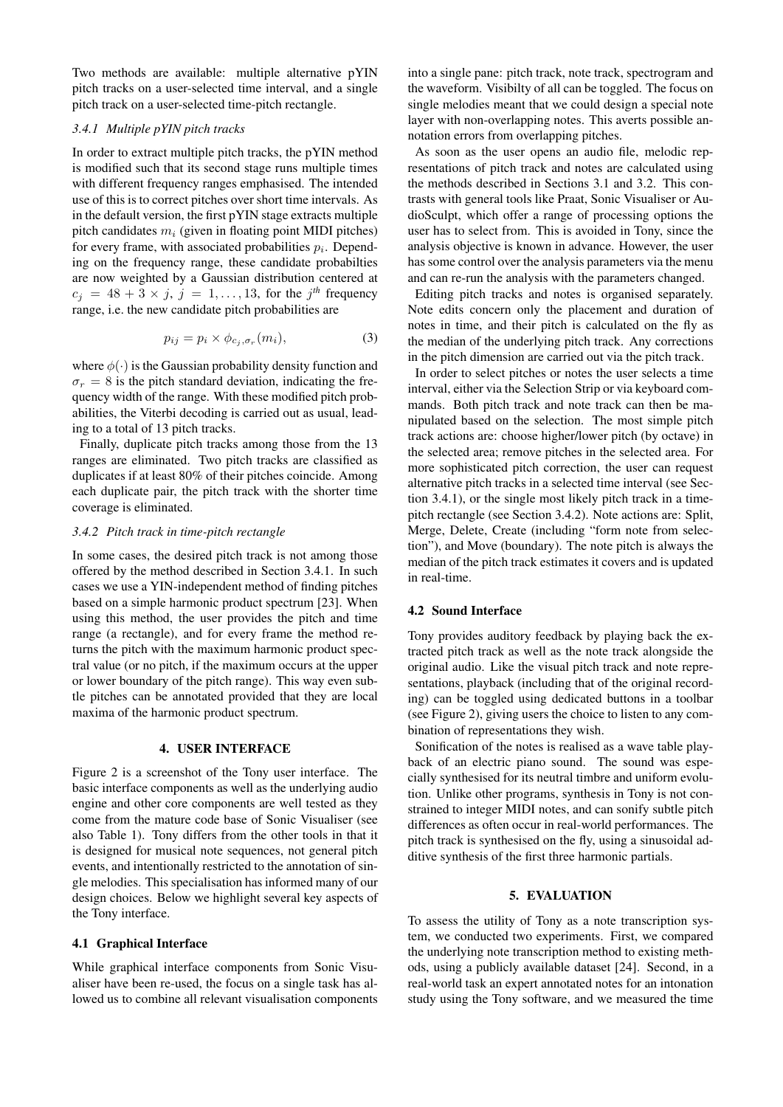Two methods are available: multiple alternative pYIN pitch tracks on a user-selected time interval, and a single pitch track on a user-selected time-pitch rectangle.

# <span id="page-4-1"></span>*3.4.1 Multiple pYIN pitch tracks*

In order to extract multiple pitch tracks, the pYIN method is modified such that its second stage runs multiple times with different frequency ranges emphasised. The intended use of this is to correct pitches over short time intervals. As in the default version, the first pYIN stage extracts multiple pitch candidates  $m_i$  (given in floating point MIDI pitches) for every frame, with associated probabilities  $p_i$ . Depending on the frequency range, these candidate probabilties are now weighted by a Gaussian distribution centered at  $c_j = 48 + 3 \times j$ ,  $j = 1, \ldots, 13$ , for the  $j<sup>th</sup>$  frequency range, i.e. the new candidate pitch probabilities are

$$
p_{ij} = p_i \times \phi_{c_j, \sigma_r}(m_i), \tag{3}
$$

where  $\phi(\cdot)$  is the Gaussian probability density function and  $\sigma_r = 8$  is the pitch standard deviation, indicating the frequency width of the range. With these modified pitch probabilities, the Viterbi decoding is carried out as usual, leading to a total of 13 pitch tracks.

Finally, duplicate pitch tracks among those from the 13 ranges are eliminated. Two pitch tracks are classified as duplicates if at least 80% of their pitches coincide. Among each duplicate pair, the pitch track with the shorter time coverage is eliminated.

# <span id="page-4-0"></span>*3.4.2 Pitch track in time-pitch rectangle*

In some cases, the desired pitch track is not among those offered by the method described in Section [3.4.1.](#page-4-1) In such cases we use a YIN-independent method of finding pitches based on a simple harmonic product spectrum [\[23\]](#page-8-6). When using this method, the user provides the pitch and time range (a rectangle), and for every frame the method returns the pitch with the maximum harmonic product spectral value (or no pitch, if the maximum occurs at the upper or lower boundary of the pitch range). This way even subtle pitches can be annotated provided that they are local maxima of the harmonic product spectrum.

#### 4. USER INTERFACE

Figure [2](#page-3-2) is a screenshot of the Tony user interface. The basic interface components as well as the underlying audio engine and other core components are well tested as they come from the mature code base of Sonic Visualiser (see also Table [1\)](#page-1-7). Tony differs from the other tools in that it is designed for musical note sequences, not general pitch events, and intentionally restricted to the annotation of single melodies. This specialisation has informed many of our design choices. Below we highlight several key aspects of the Tony interface.

# 4.1 Graphical Interface

While graphical interface components from Sonic Visualiser have been re-used, the focus on a single task has allowed us to combine all relevant visualisation components into a single pane: pitch track, note track, spectrogram and the waveform. Visibilty of all can be toggled. The focus on single melodies meant that we could design a special note layer with non-overlapping notes. This averts possible annotation errors from overlapping pitches.

As soon as the user opens an audio file, melodic representations of pitch track and notes are calculated using the methods described in Sections [3.1](#page-2-1) and [3.2.](#page-2-2) This contrasts with general tools like Praat, Sonic Visualiser or AudioSculpt, which offer a range of processing options the user has to select from. This is avoided in Tony, since the analysis objective is known in advance. However, the user has some control over the analysis parameters via the menu and can re-run the analysis with the parameters changed.

Editing pitch tracks and notes is organised separately. Note edits concern only the placement and duration of notes in time, and their pitch is calculated on the fly as the median of the underlying pitch track. Any corrections in the pitch dimension are carried out via the pitch track.

In order to select pitches or notes the user selects a time interval, either via the Selection Strip or via keyboard commands. Both pitch track and note track can then be manipulated based on the selection. The most simple pitch track actions are: choose higher/lower pitch (by octave) in the selected area; remove pitches in the selected area. For more sophisticated pitch correction, the user can request alternative pitch tracks in a selected time interval (see Section [3.4.1\)](#page-4-1), or the single most likely pitch track in a timepitch rectangle (see Section [3.4.2\)](#page-4-0). Note actions are: Split, Merge, Delete, Create (including "form note from selection"), and Move (boundary). The note pitch is always the median of the pitch track estimates it covers and is updated in real-time.

# 4.2 Sound Interface

Tony provides auditory feedback by playing back the extracted pitch track as well as the note track alongside the original audio. Like the visual pitch track and note representations, playback (including that of the original recording) can be toggled using dedicated buttons in a toolbar (see Figure [2\)](#page-3-2), giving users the choice to listen to any combination of representations they wish.

Sonification of the notes is realised as a wave table playback of an electric piano sound. The sound was especially synthesised for its neutral timbre and uniform evolution. Unlike other programs, synthesis in Tony is not constrained to integer MIDI notes, and can sonify subtle pitch differences as often occur in real-world performances. The pitch track is synthesised on the fly, using a sinusoidal additive synthesis of the first three harmonic partials.

# 5. EVALUATION

To assess the utility of Tony as a note transcription system, we conducted two experiments. First, we compared the underlying note transcription method to existing methods, using a publicly available dataset [\[24\]](#page-8-7). Second, in a real-world task an expert annotated notes for an intonation study using the Tony software, and we measured the time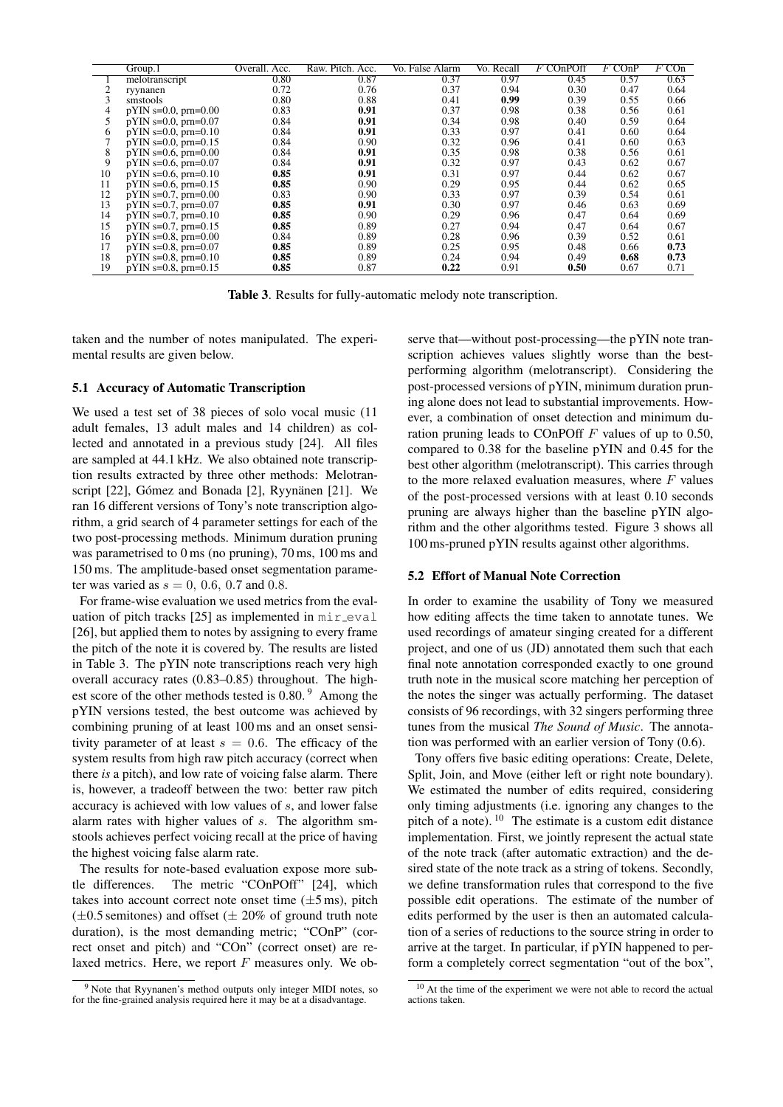|    | Group.1                    | Overall. Acc. | Raw. Pitch. Acc. | Vo. False Alarm | Vo. Recall | F COnPOff | $F$ COnP | $F$ COn |
|----|----------------------------|---------------|------------------|-----------------|------------|-----------|----------|---------|
|    | melotranscript             | 0.80          | 0.87             | 0.37            | 0.97       | 0.45      | 0.57     | 0.63    |
|    | ryynanen                   | 0.72          | 0.76             | 0.37            | 0.94       | 0.30      | 0.47     | 0.64    |
| 3  | smstools                   | 0.80          | 0.88             | 0.41            | 0.99       | 0.39      | 0.55     | 0.66    |
|    | $p$ YIN s=0.0, prn=0.00    | 0.83          | 0.91             | 0.37            | 0.98       | 0.38      | 0.56     | 0.61    |
|    | $p$ YIN s=0.0, prn=0.07    | 0.84          | 0.91             | 0.34            | 0.98       | 0.40      | 0.59     | 0.64    |
| 6  | $p$ YIN s=0.0, prn=0.10    | 0.84          | 0.91             | 0.33            | 0.97       | 0.41      | 0.60     | 0.64    |
|    | $p$ YIN s=0.0, prn=0.15    | 0.84          | 0.90             | 0.32            | 0.96       | 0.41      | 0.60     | 0.63    |
| 8  | $p$ YIN s=0.6, prn=0.00    | 0.84          | 0.91             | 0.35            | 0.98       | 0.38      | 0.56     | 0.61    |
| 9  | $p$ YIN s=0.6, prn=0.07    | 0.84          | 0.91             | 0.32            | 0.97       | 0.43      | 0.62     | 0.67    |
| 10 | $p$ YIN s=0.6, prn=0.10    | 0.85          | 0.91             | 0.31            | 0.97       | 0.44      | 0.62     | 0.67    |
| 11 | $p$ YIN s=0.6, prn=0.15    | 0.85          | 0.90             | 0.29            | 0.95       | 0.44      | 0.62     | 0.65    |
| 12 | $p$ YIN s=0.7, prn=0.00    | 0.83          | 0.90             | 0.33            | 0.97       | 0.39      | 0.54     | 0.61    |
| 13 | $p$ YIN s=0.7, prn=0.07    | 0.85          | 0.91             | 0.30            | 0.97       | 0.46      | 0.63     | 0.69    |
| 14 | $p$ YIN s=0.7, prn=0.10    | 0.85          | 0.90             | 0.29            | 0.96       | 0.47      | 0.64     | 0.69    |
| 15 | $p$ YIN s=0.7, $p$ rn=0.15 | 0.85          | 0.89             | 0.27            | 0.94       | 0.47      | 0.64     | 0.67    |
| 16 | $p$ YIN s=0.8, prn=0.00    | 0.84          | 0.89             | 0.28            | 0.96       | 0.39      | 0.52     | 0.61    |
| 17 | $p$ YIN s=0.8, prn=0.07    | 0.85          | 0.89             | 0.25            | 0.95       | 0.48      | 0.66     | 0.73    |
| 18 | pYIN s=0.8, prn=0.10       | 0.85          | 0.89             | 0.24            | 0.94       | 0.49      | 0.68     | 0.73    |
| 19 | $p$ YIN s=0.8, prn=0.15    | 0.85          | 0.87             | 0.22            | 0.91       | 0.50      | 0.67     | 0.71    |

<span id="page-5-0"></span>Table 3. Results for fully-automatic melody note transcription.

taken and the number of notes manipulated. The experimental results are given below.

#### 5.1 Accuracy of Automatic Transcription

We used a test set of 38 pieces of solo vocal music (11 adult females, 13 adult males and 14 children) as collected and annotated in a previous study [\[24\]](#page-8-7). All files are sampled at 44.1 kHz. We also obtained note transcription results extracted by three other methods: Melotranscript  $[22]$ , Gómez and Bonada  $[2]$  $[2]$ , Ryynänen  $[21]$  $[21]$ . We ran 16 different versions of Tony's note transcription algorithm, a grid search of 4 parameter settings for each of the two post-processing methods. Minimum duration pruning was parametrised to 0 ms (no pruning), 70 ms, 100 ms and 150 ms. The amplitude-based onset segmentation parameter was varied as  $s = 0$ , 0.6, 0.7 and 0.8.

For frame-wise evaluation we used metrics from the evaluation of pitch tracks  $[25]$  as implemented in  $\min$ -eval [\[26\]](#page-8-9), but applied them to notes by assigning to every frame the pitch of the note it is covered by. The results are listed in Table [3.](#page-5-0) The pYIN note transcriptions reach very high overall accuracy rates (0.83–0.85) throughout. The high-est score of the other methods tested is 0.80.<sup>[9](#page-5-1)</sup> Among the pYIN versions tested, the best outcome was achieved by combining pruning of at least 100 ms and an onset sensitivity parameter of at least  $s = 0.6$ . The efficacy of the system results from high raw pitch accuracy (correct when there *is* a pitch), and low rate of voicing false alarm. There is, however, a tradeoff between the two: better raw pitch accuracy is achieved with low values of s, and lower false alarm rates with higher values of s. The algorithm smstools achieves perfect voicing recall at the price of having the highest voicing false alarm rate.

The results for note-based evaluation expose more subtle differences. The metric "COnPOff" [\[24\]](#page-8-7), which takes into account correct note onset time  $(\pm 5 \,\text{ms})$ , pitch  $(\pm 0.5$  semitones) and offset ( $\pm 20\%$  of ground truth note duration), is the most demanding metric; "COnP" (correct onset and pitch) and "COn" (correct onset) are relaxed metrics. Here, we report  $F$  measures only. We observe that—without post-processing—the pYIN note transcription achieves values slightly worse than the bestperforming algorithm (melotranscript). Considering the post-processed versions of pYIN, minimum duration pruning alone does not lead to substantial improvements. However, a combination of onset detection and minimum duration pruning leads to COnPOff  $F$  values of up to 0.50, compared to 0.38 for the baseline pYIN and 0.45 for the best other algorithm (melotranscript). This carries through to the more relaxed evaluation measures, where  $F$  values of the post-processed versions with at least 0.10 seconds pruning are always higher than the baseline pYIN algorithm and the other algorithms tested. Figure [3](#page-6-0) shows all 100 ms-pruned pYIN results against other algorithms.

#### 5.2 Effort of Manual Note Correction

In order to examine the usability of Tony we measured how editing affects the time taken to annotate tunes. We used recordings of amateur singing created for a different project, and one of us (JD) annotated them such that each final note annotation corresponded exactly to one ground truth note in the musical score matching her perception of the notes the singer was actually performing. The dataset consists of 96 recordings, with 32 singers performing three tunes from the musical *The Sound of Music*. The annotation was performed with an earlier version of Tony (0.6).

Tony offers five basic editing operations: Create, Delete, Split, Join, and Move (either left or right note boundary). We estimated the number of edits required, considering only timing adjustments (i.e. ignoring any changes to the pitch of a note). [10](#page-5-2) The estimate is a custom edit distance implementation. First, we jointly represent the actual state of the note track (after automatic extraction) and the desired state of the note track as a string of tokens. Secondly, we define transformation rules that correspond to the five possible edit operations. The estimate of the number of edits performed by the user is then an automated calculation of a series of reductions to the source string in order to arrive at the target. In particular, if pYIN happened to perform a completely correct segmentation "out of the box",

<span id="page-5-1"></span><sup>9</sup> Note that Ryynanen's method outputs only integer MIDI notes, so for the fine-grained analysis required here it may be at a disadvantage.

<span id="page-5-2"></span><sup>&</sup>lt;sup>10</sup> At the time of the experiment we were not able to record the actual actions taken.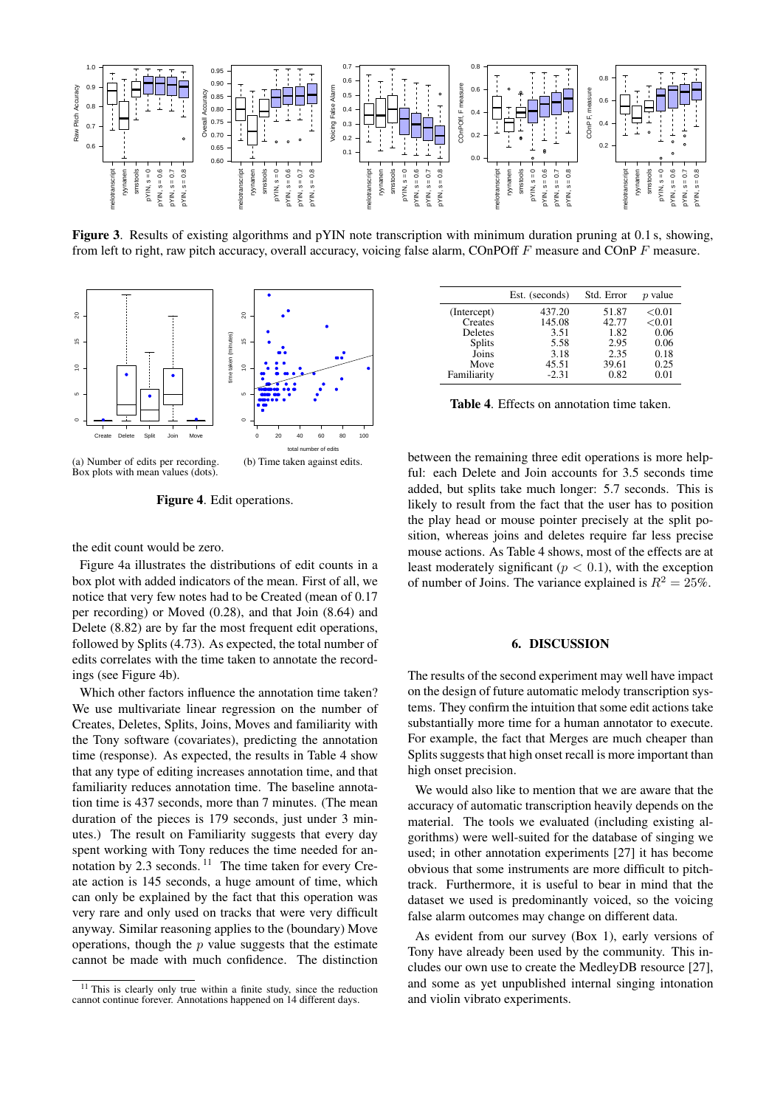

<span id="page-6-0"></span>Figure 3. Results of existing algorithms and pYIN note transcription with minimum duration pruning at 0.1 s, showing, from left to right, raw pitch accuracy, overall accuracy, voicing false alarm, COnPOff F measure and COnP F measure.

<span id="page-6-1"></span>

Box plots with mean values (dots).

<span id="page-6-2"></span>Figure 4. Edit operations.

the edit count would be zero.

Figure [4a](#page-6-1) illustrates the distributions of edit counts in a box plot with added indicators of the mean. First of all, we notice that very few notes had to be Created (mean of 0.17 per recording) or Moved (0.28), and that Join (8.64) and Delete (8.82) are by far the most frequent edit operations, followed by Splits (4.73). As expected, the total number of edits correlates with the time taken to annotate the recordings (see Figure [4b\)](#page-6-2).

Which other factors influence the annotation time taken? We use multivariate linear regression on the number of Creates, Deletes, Splits, Joins, Moves and familiarity with the Tony software (covariates), predicting the annotation time (response). As expected, the results in Table [4](#page-6-3) show that any type of editing increases annotation time, and that familiarity reduces annotation time. The baseline annotation time is 437 seconds, more than 7 minutes. (The mean duration of the pieces is 179 seconds, just under 3 minutes.) The result on Familiarity suggests that every day spent working with Tony reduces the time needed for annotation by  $2.3$  seconds. <sup>[11](#page-6-4)</sup> The time taken for every Create action is 145 seconds, a huge amount of time, which can only be explained by the fact that this operation was very rare and only used on tracks that were very difficult anyway. Similar reasoning applies to the (boundary) Move operations, though the  $p$  value suggests that the estimate cannot be made with much confidence. The distinction

<span id="page-6-3"></span>

|               | Est. (seconds) | Std. Error | p value   |
|---------------|----------------|------------|-----------|
| (Intercept)   | 437.20         | 51.87      | ${<}0.01$ |
| Creates       | 145.08         | 42.77      | ${<}0.01$ |
| Deletes       | 3.51           | 1.82       | 0.06      |
| <b>Splits</b> | 5.58           | 2.95       | 0.06      |
| Joins         | 3.18           | 2.35       | 0.18      |
| Move          | 45.51          | 39.61      | 0.25      |
| Familiarity   | $-2.31$        | 0.82       | 0.01      |

Table 4. Effects on annotation time taken.

between the remaining three edit operations is more helpful: each Delete and Join accounts for 3.5 seconds time added, but splits take much longer: 5.7 seconds. This is likely to result from the fact that the user has to position the play head or mouse pointer precisely at the split position, whereas joins and deletes require far less precise mouse actions. As Table [4](#page-6-3) shows, most of the effects are at least moderately significant ( $p < 0.1$ ), with the exception of number of Joins. The variance explained is  $R^2 = 25\%$ .

# 6. DISCUSSION

The results of the second experiment may well have impact on the design of future automatic melody transcription systems. They confirm the intuition that some edit actions take substantially more time for a human annotator to execute. For example, the fact that Merges are much cheaper than Splits suggests that high onset recall is more important than high onset precision.

We would also like to mention that we are aware that the accuracy of automatic transcription heavily depends on the material. The tools we evaluated (including existing algorithms) were well-suited for the database of singing we used; in other annotation experiments [\[27\]](#page-8-10) it has become obvious that some instruments are more difficult to pitchtrack. Furthermore, it is useful to bear in mind that the dataset we used is predominantly voiced, so the voicing false alarm outcomes may change on different data.

As evident from our survey (Box [1\)](#page-1-1), early versions of Tony have already been used by the community. This includes our own use to create the MedleyDB resource [\[27\]](#page-8-10), and some as yet unpublished internal singing intonation and violin vibrato experiments.

<span id="page-6-4"></span><sup>&</sup>lt;sup>11</sup> This is clearly only true within a finite study, since the reduction cannot continue forever. Annotations happened on 14 different days.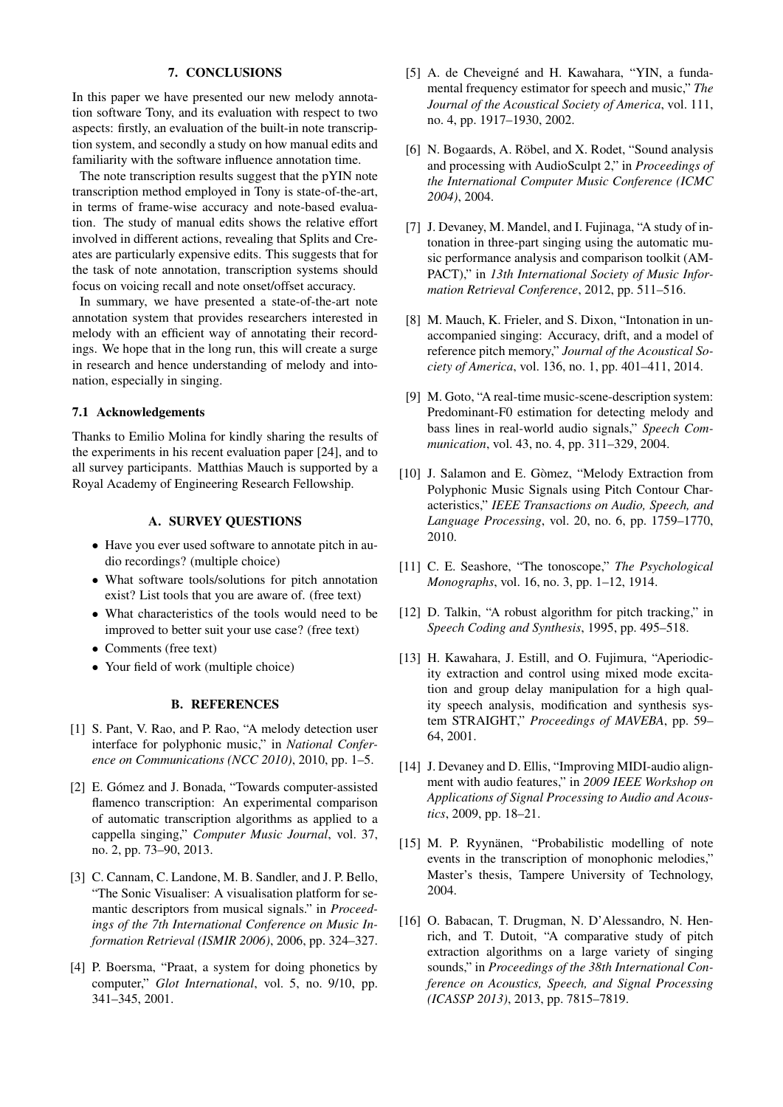#### 7. CONCLUSIONS

In this paper we have presented our new melody annotation software Tony, and its evaluation with respect to two aspects: firstly, an evaluation of the built-in note transcription system, and secondly a study on how manual edits and familiarity with the software influence annotation time.

The note transcription results suggest that the pYIN note transcription method employed in Tony is state-of-the-art, in terms of frame-wise accuracy and note-based evaluation. The study of manual edits shows the relative effort involved in different actions, revealing that Splits and Creates are particularly expensive edits. This suggests that for the task of note annotation, transcription systems should focus on voicing recall and note onset/offset accuracy.

In summary, we have presented a state-of-the-art note annotation system that provides researchers interested in melody with an efficient way of annotating their recordings. We hope that in the long run, this will create a surge in research and hence understanding of melody and intonation, especially in singing.

#### 7.1 Acknowledgements

Thanks to Emilio Molina for kindly sharing the results of the experiments in his recent evaluation paper [\[24\]](#page-8-7), and to all survey participants. Matthias Mauch is supported by a Royal Academy of Engineering Research Fellowship.

# A. SURVEY QUESTIONS

- <span id="page-7-0"></span>• Have you ever used software to annotate pitch in audio recordings? (multiple choice)
- What software tools/solutions for pitch annotation exist? List tools that you are aware of. (free text)
- What characteristics of the tools would need to be improved to better suit your use case? (free text)
- Comments (free text)
- Your field of work (multiple choice)

#### B. REFERENCES

- <span id="page-7-1"></span>[1] S. Pant, V. Rao, and P. Rao, "A melody detection user interface for polyphonic music," in *National Conference on Communications (NCC 2010)*, 2010, pp. 1–5.
- <span id="page-7-2"></span>[2] E. Gómez and J. Bonada, "Towards computer-assisted flamenco transcription: An experimental comparison of automatic transcription algorithms as applied to a cappella singing," *Computer Music Journal*, vol. 37, no. 2, pp. 73–90, 2013.
- <span id="page-7-3"></span>[3] C. Cannam, C. Landone, M. B. Sandler, and J. P. Bello, "The Sonic Visualiser: A visualisation platform for semantic descriptors from musical signals." in *Proceedings of the 7th International Conference on Music Information Retrieval (ISMIR 2006)*, 2006, pp. 324–327.
- <span id="page-7-4"></span>[4] P. Boersma, "Praat, a system for doing phonetics by computer," *Glot International*, vol. 5, no. 9/10, pp. 341–345, 2001.
- <span id="page-7-5"></span>[5] A. de Cheveigné and H. Kawahara, "YIN, a fundamental frequency estimator for speech and music," *The Journal of the Acoustical Society of America*, vol. 111, no. 4, pp. 1917–1930, 2002.
- <span id="page-7-6"></span>[6] N. Bogaards, A. Röbel, and X. Rodet, "Sound analysis and processing with AudioSculpt 2," in *Proceedings of the International Computer Music Conference (ICMC 2004)*, 2004.
- <span id="page-7-7"></span>[7] J. Devaney, M. Mandel, and I. Fujinaga, "A study of intonation in three-part singing using the automatic music performance analysis and comparison toolkit (AM-PACT)," in *13th International Society of Music Information Retrieval Conference*, 2012, pp. 511–516.
- <span id="page-7-8"></span>[8] M. Mauch, K. Frieler, and S. Dixon, "Intonation in unaccompanied singing: Accuracy, drift, and a model of reference pitch memory," *Journal of the Acoustical Society of America*, vol. 136, no. 1, pp. 401–411, 2014.
- <span id="page-7-9"></span>[9] M. Goto, "A real-time music-scene-description system: Predominant-F0 estimation for detecting melody and bass lines in real-world audio signals," *Speech Communication*, vol. 43, no. 4, pp. 311–329, 2004.
- <span id="page-7-10"></span>[10] J. Salamon and E. Gòmez, "Melody Extraction from Polyphonic Music Signals using Pitch Contour Characteristics," *IEEE Transactions on Audio, Speech, and Language Processing*, vol. 20, no. 6, pp. 1759–1770, 2010.
- <span id="page-7-11"></span>[11] C. E. Seashore, "The tonoscope," *The Psychological Monographs*, vol. 16, no. 3, pp. 1–12, 1914.
- <span id="page-7-12"></span>[12] D. Talkin, "A robust algorithm for pitch tracking," in *Speech Coding and Synthesis*, 1995, pp. 495–518.
- <span id="page-7-13"></span>[13] H. Kawahara, J. Estill, and O. Fujimura, "Aperiodicity extraction and control using mixed mode excitation and group delay manipulation for a high quality speech analysis, modification and synthesis system STRAIGHT," *Proceedings of MAVEBA*, pp. 59– 64, 2001.
- <span id="page-7-14"></span>[14] J. Devaney and D. Ellis, "Improving MIDI-audio alignment with audio features," in *2009 IEEE Workshop on Applications of Signal Processing to Audio and Acoustics*, 2009, pp. 18–21.
- <span id="page-7-15"></span>[15] M. P. Ryynänen, "Probabilistic modelling of note events in the transcription of monophonic melodies," Master's thesis, Tampere University of Technology, 2004.
- <span id="page-7-16"></span>[16] O. Babacan, T. Drugman, N. D'Alessandro, N. Henrich, and T. Dutoit, "A comparative study of pitch extraction algorithms on a large variety of singing sounds," in *Proceedings of the 38th International Conference on Acoustics, Speech, and Signal Processing (ICASSP 2013)*, 2013, pp. 7815–7819.